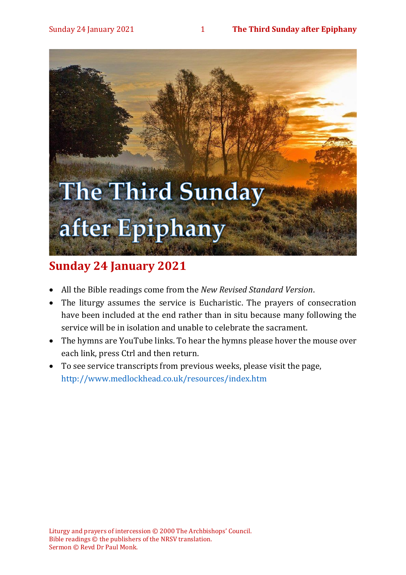# The Third Sunday after Epiphany

## **Sunday 24 January 2021**

- All the Bible readings come from the *New Revised Standard Version*.
- The liturgy assumes the service is Eucharistic. The prayers of consecration have been included at the end rather than in situ because many following the service will be in isolation and unable to celebrate the sacrament.
- The hymns are YouTube links. To hear the hymns please hover the mouse over each link, press Ctrl and then return.
- To see service transcripts from previous weeks, please visit the page, <http://www.medlockhead.co.uk/resources/index.htm>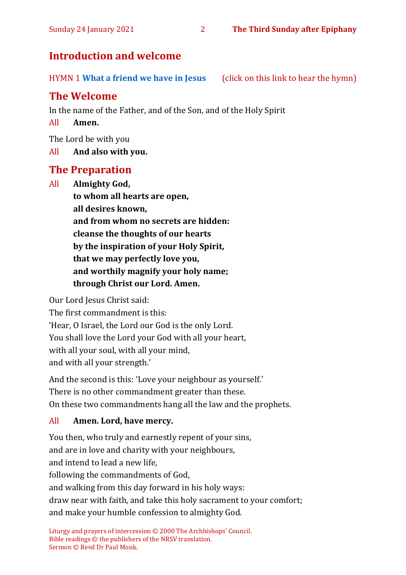#### **Introduction and welcome**

HYMN 1 **[What a friend we have in Jesus](https://www.youtube.com/watch?v=LarFhGeE-ac)** (click on this link to hear the hymn)

#### **The Welcome**

In the name of the Father, and of the Son, and of the Holy Spirit

#### All **Amen.**

The Lord be with you

All **And also with you.**

#### **The Preparation**

All **Almighty God, to whom all hearts are open, all desires known, and from whom no secrets are hidden: cleanse the thoughts of our hearts by the inspiration of your Holy Spirit, that we may perfectly love you, and worthily magnify your holy name; through Christ our Lord. Amen.**

Our Lord Jesus Christ said:

The first commandment is this: 'Hear, O Israel, the Lord our God is the only Lord. You shall love the Lord your God with all your heart, with all your soul, with all your mind, and with all your strength.'

And the second is this: 'Love your neighbour as yourself.' There is no other commandment greater than these. On these two commandments hang all the law and the prophets.

#### All **Amen. Lord, have mercy.**

You then, who truly and earnestly repent of your sins, and are in love and charity with your neighbours, and intend to lead a new life, following the commandments of God, and walking from this day forward in his holy ways: draw near with faith, and take this holy sacrament to your comfort; and make your humble confession to almighty God.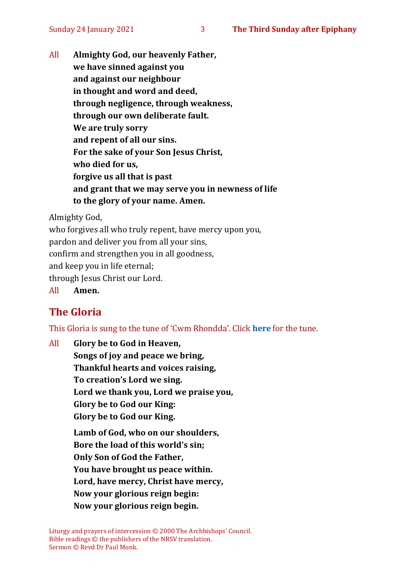All **Almighty God, our heavenly Father, we have sinned against you and against our neighbour in thought and word and deed, through negligence, through weakness, through our own deliberate fault. We are truly sorry and repent of all our sins. For the sake of your Son Jesus Christ, who died for us, forgive us all that is past and grant that we may serve you in newness of life to the glory of your name. Amen.**

Almighty God,

who forgives all who truly repent, have mercy upon you,

pardon and deliver you from all your sins,

confirm and strengthen you in all goodness,

and keep you in life eternal;

through Jesus Christ our Lord.

All **Amen.**

#### **The Gloria**

This Gloria is sung to the tune of 'Cwm Rhondda'. Click **[here](about:blank)** for the tune.

All **Glory be to God in Heaven, Songs of joy and peace we bring, Thankful hearts and voices raising, To creation's Lord we sing. Lord we thank you, Lord we praise you, Glory be to God our King: Glory be to God our King. Lamb of God, who on our shoulders, Bore the load of this world's sin; Only Son of God the Father, You have brought us peace within. Lord, have mercy, Christ have mercy,**

**Now your glorious reign begin:**

**Now your glorious reign begin.**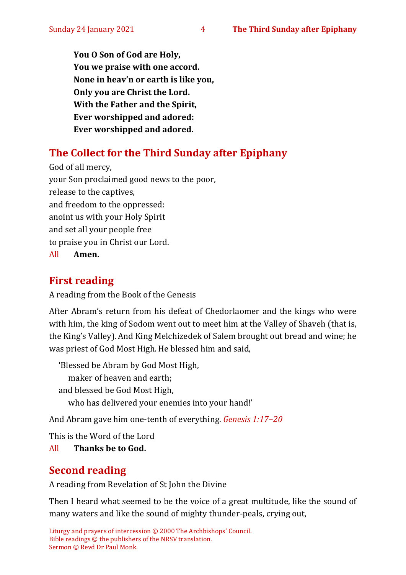**You O Son of God are Holy, You we praise with one accord. None in heav'n or earth is like you, Only you are Christ the Lord. With the Father and the Spirit, Ever worshipped and adored: Ever worshipped and adored.**

#### **The Collect for the Third Sunday after Epiphany**

God of all mercy, your Son proclaimed good news to the poor, release to the captives, and freedom to the oppressed: anoint us with your Holy Spirit and set all your people free to praise you in Christ our Lord. All **Amen.**

#### **First reading**

A reading from the Book of the Genesis

After Abram's return from his defeat of Chedorlaomer and the kings who were with him, the king of Sodom went out to meet him at the Valley of Shaveh (that is, the King's Valley).And King Melchizedek of Salem brought out bread and wine; he was priest of God Most High.He blessed him and said,

'Blessed be Abram by God Most High, maker of heaven and earth; and blessed be God Most High, who has delivered your enemies into your hand!'

And Abram gave him one-tenth of everything. *Genesis 1:17–20*

This is the Word of the Lord

All **Thanks be to God.**

### **Second reading**

A reading from Revelation of St John the Divine

Then I heard what seemed to be the voice of a great multitude, like the sound of many waters and like the sound of mighty thunder-peals, crying out,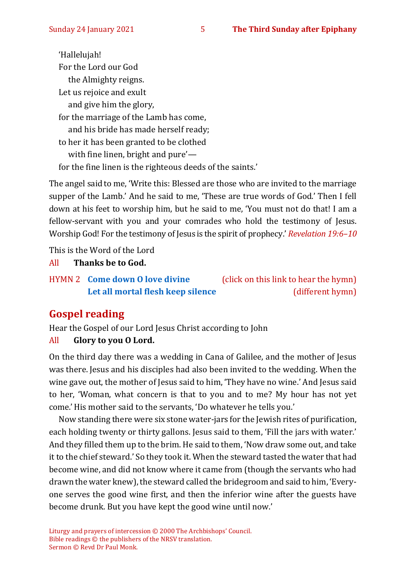'Hallelujah! For the Lord our God the Almighty reigns. Let us rejoice and exult and give him the glory, for the marriage of the Lamb has come, and his bride has made herself ready; to her it has been granted to be clothed with fine linen, bright and pure' for the fine linen is the righteous deeds of the saints.'

The angel said to me, 'Write this: Blessed are those who are invited to the marriage supper of the Lamb.' And he said to me, 'These are true words of God.' Then I fell down at his feet to worship him, but he said to me, 'You must not do that! I am a fellow-servant with you and your comrades who hold the testimony of Jesus. Worship God! For the testimony of Jesus is the spirit of prophecy.' *Revelation 19:6–10*

This is the Word of the Lord

All **Thanks be to God.**

HYMN 2 **[Come down O love divine](https://www.youtube.com/watch?v=0S5pYyxwZVc)** (click on this link to hear the hymn) [Let all mortal flesh keep silence](https://www.youtube.com/watch?v=e2MwVZyHJdo) (different hymn)

#### **Gospel reading**

Hear the Gospel of our Lord Jesus Christ according to John

#### All **Glory to you O Lord.**

On the third day there was a wedding in Cana of Galilee, and the mother of Jesus was there. Jesus and his disciples had also been invited to the wedding. When the wine gave out, the mother of Jesus said to him, 'They have no wine.' And Jesus said to her, 'Woman, what concern is that to you and to me? My hour has not yet come.'His mother said to the servants, 'Do whatever he tells you.'

Now standing there were six stone water-jars for the Jewish rites of purification, each holding twenty or thirty gallons. Jesus said to them, 'Fill the jars with water.' And they filled them up to the brim. He said to them, 'Now draw some out, and take it to the chief steward.' So they took it. When the steward tasted the water that had become wine, and did not know where it came from (though the servants who had drawn the water knew), the steward called the bridegroom and said to him, 'Everyone serves the good wine first, and then the inferior wine after the guests have become drunk. But you have kept the good wine until now.'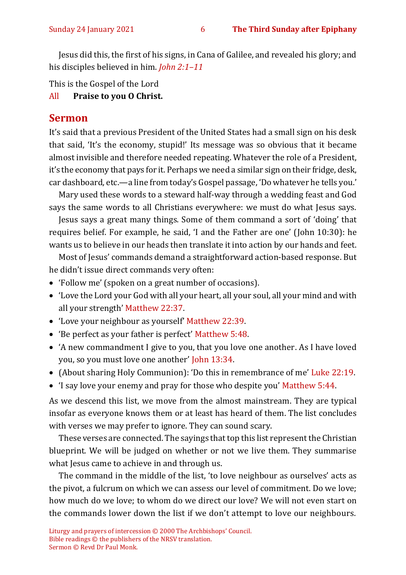Jesus did this, the first of his signs, in Cana of Galilee, and revealed his glory; and his disciples believed in him. *John 2:1–11*

This is the Gospel of the Lord

All **Praise to you O Christ.** 

#### **Sermon**

It's said that a previous President of the United States had a small sign on his desk that said, 'It's the economy, stupid!' Its message was so obvious that it became almost invisible and therefore needed repeating. Whatever the role of a President, it's the economy that pays for it. Perhaps we need a similar sign on their fridge, desk, car dashboard, etc.—a line from today's Gospel passage, 'Do whatever he tells you.'

Mary used these words to a steward half-way through a wedding feast and God says the same words to all Christians everywhere: we must do what Jesus says.

Jesus says a great many things. Some of them command a sort of 'doing' that requires belief. For example, he said, 'I and the Father are one' (John 10:30): he wants us to believe in our heads then translate it into action by our hands and feet.

Most of Jesus' commands demand a straightforward action-based response. But he didn't issue direct commands very often:

- 'Follow me' (spoken on a great number of occasions).
- 'Love the Lord your God with all your heart, all your soul, all your mind and with all your strength' Matthew 22:37.
- 'Love your neighbour as yourself' Matthew 22:39.
- 'Be perfect as your father is perfect' Matthew 5:48.
- 'A new commandment I give to you, that you love one another. As I have loved you, so you must love one another' John 13:34.
- (About sharing Holy Communion): 'Do this in remembrance of me' Luke 22:19.
- 'I say love your enemy and pray for those who despite you' Matthew 5:44.

As we descend this list, we move from the almost mainstream. They are typical insofar as everyone knows them or at least has heard of them. The list concludes with verses we may prefer to ignore. They can sound scary.

These verses are connected. The sayings that top this list represent the Christian blueprint. We will be judged on whether or not we live them. They summarise what Jesus came to achieve in and through us.

The command in the middle of the list, 'to love neighbour as ourselves' acts as the pivot, a fulcrum on which we can assess our level of commitment. Do we love; how much do we love; to whom do we direct our love? We will not even start on the commands lower down the list if we don't attempt to love our neighbours.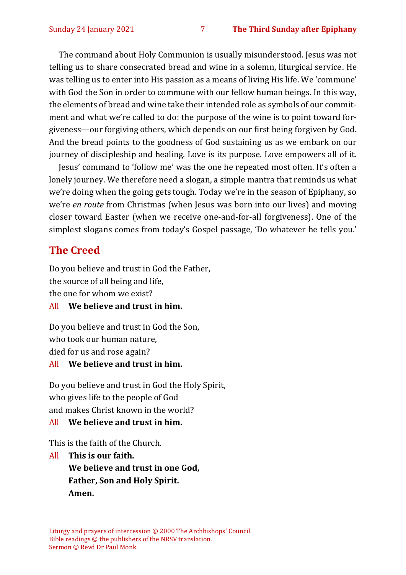The command about Holy Communion is usually misunderstood. Jesus was not telling us to share consecrated bread and wine in a solemn, liturgical service. He was telling us to enter into His passion as a means of living His life. We 'commune' with God the Son in order to commune with our fellow human beings. In this way, the elements of bread and wine take their intended role as symbols of our commitment and what we're called to do: the purpose of the wine is to point toward forgiveness—our forgiving others, which depends on our first being forgiven by God. And the bread points to the goodness of God sustaining us as we embark on our journey of discipleship and healing. Love is its purpose. Love empowers all of it.

Jesus' command to 'follow me' was the one he repeated most often. It's often a lonely journey. We therefore need a slogan, a simple mantra that reminds us what we're doing when the going gets tough. Today we're in the season of Epiphany, so we're *en route* from Christmas (when Jesus was born into our lives) and moving closer toward Easter (when we receive one-and-for-all forgiveness). One of the simplest slogans comes from today's Gospel passage, 'Do whatever he tells you.'

#### **The Creed**

Do you believe and trust in God the Father, the source of all being and life, the one for whom we exist?

#### All **We believe and trust in him.**

Do you believe and trust in God the Son, who took our human nature, died for us and rose again?

#### All **We believe and trust in him.**

Do you believe and trust in God the Holy Spirit, who gives life to the people of God and makes Christ known in the world?

#### All **We believe and trust in him.**

This is the faith of the Church.

All **This is our faith. We believe and trust in one God, Father, Son and Holy Spirit. Amen.**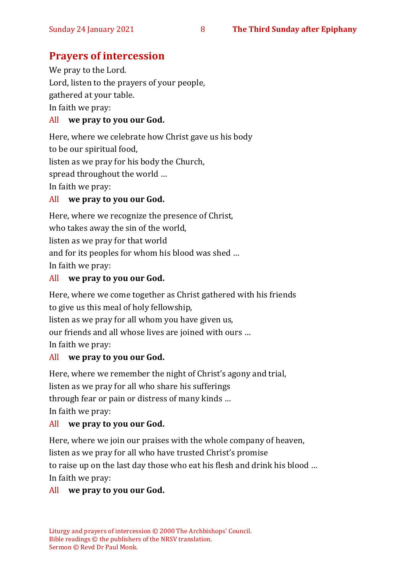#### **Prayers of intercession**

We pray to the Lord. Lord, listen to the prayers of your people, gathered at your table. In faith we pray: All **we pray to you our God.**

Here, where we celebrate how Christ gave us his body to be our spiritual food, listen as we pray for his body the Church, spread throughout the world … In faith we pray:

#### All **we pray to you our God.**

Here, where we recognize the presence of Christ, who takes away the sin of the world, listen as we pray for that world and for its peoples for whom his blood was shed … In faith we pray:

#### All **we pray to you our God.**

Here, where we come together as Christ gathered with his friends to give us this meal of holy fellowship, listen as we pray for all whom you have given us, our friends and all whose lives are joined with ours … In faith we pray:

#### All **we pray to you our God.**

Here, where we remember the night of Christ's agony and trial, listen as we pray for all who share his sufferings through fear or pain or distress of many kinds … In faith we pray:

#### All **we pray to you our God.**

Here, where we join our praises with the whole company of heaven, listen as we pray for all who have trusted Christ's promise to raise up on the last day those who eat his flesh and drink his blood … In faith we pray:

#### All **we pray to you our God.**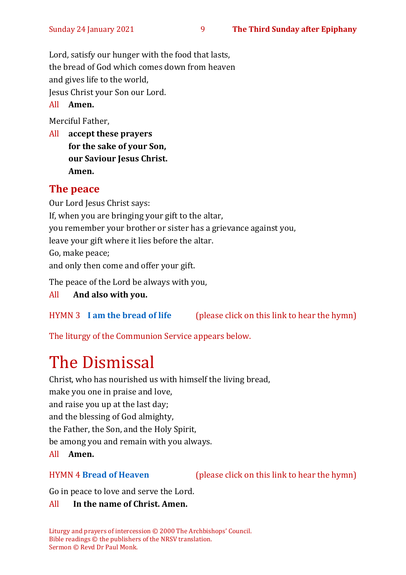Lord, satisfy our hunger with the food that lasts, the bread of God which comes down from heaven and gives life to the world, Jesus Christ your Son our Lord.

#### All **Amen.**

Merciful Father,

All **accept these prayers for the sake of your Son, our Saviour Jesus Christ. Amen.**

#### **The peace**

Our Lord Jesus Christ says: If, when you are bringing your gift to the altar, you remember your brother or sister has a grievance against you, leave your gift where it lies before the altar. Go, make peace; and only then come and offer your gift. The peace of the Lord be always with you,

#### All **And also with you.**

#### HYMN 3 **[I am the bread of life](https://www.youtube.com/watch?v=IvD0XJzOWQ4)** (please click on this link to hear the hymn)

The liturgy of the Communion Service appears below.

# The Dismissal

Christ, who has nourished us with himself the living bread,

make you one in praise and love, and raise you up at the last day; and the blessing of God almighty,

the Father, the Son, and the Holy Spirit,

be among you and remain with you always.

All **Amen.**

HYMN 4 **[Bread of Heaven](https://www.youtube.com/watch?v=j7IEwZQqh2o)** (please click on this link to hear the hymn)

Go in peace to love and serve the Lord.

#### All **In the name of Christ. Amen.**

Liturgy and prayers of intercession © 2000 The Archbishops' Council. Bible readings © the publishers of the NRSV translation. Sermon © Revd Dr Paul Monk.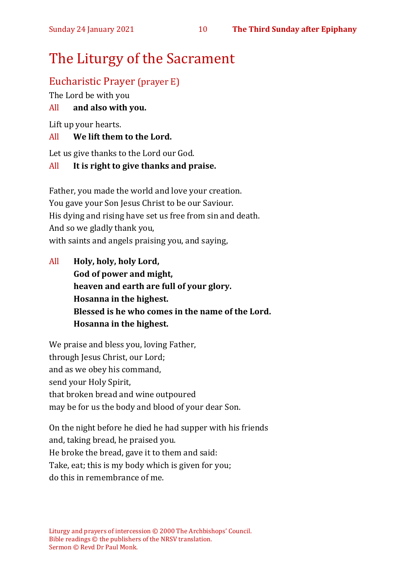# The Liturgy of the Sacrament

#### Eucharistic Prayer (prayer E)

The Lord be with you

#### All **and also with you.**

Lift up your hearts.

#### All **We lift them to the Lord.**

Let us give thanks to the Lord our God.

#### All **It is right to give thanks and praise.**

Father, you made the world and love your creation. You gave your Son Jesus Christ to be our Saviour. His dying and rising have set us free from sin and death. And so we gladly thank you, with saints and angels praising you, and saying,

All **Holy, holy, holy Lord, God of power and might, heaven and earth are full of your glory. Hosanna in the highest. Blessed is he who comes in the name of the Lord. Hosanna in the highest.**

We praise and bless you, loving Father, through Jesus Christ, our Lord; and as we obey his command, send your Holy Spirit, that broken bread and wine outpoured may be for us the body and blood of your dear Son.

On the night before he died he had supper with his friends and, taking bread, he praised you. He broke the bread, gave it to them and said: Take, eat; this is my body which is given for you; do this in remembrance of me.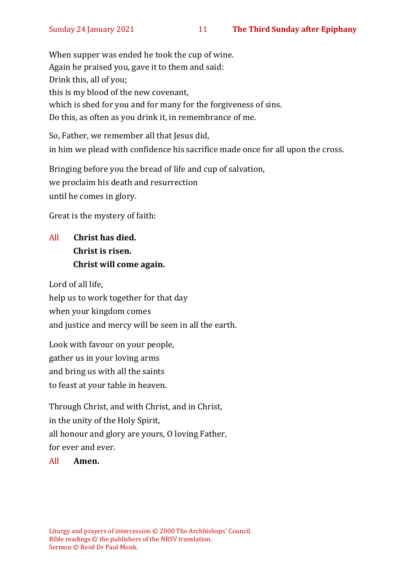When supper was ended he took the cup of wine. Again he praised you, gave it to them and said: Drink this, all of you; this is my blood of the new covenant, which is shed for you and for many for the forgiveness of sins. Do this, as often as you drink it, in remembrance of me.

So, Father, we remember all that Jesus did, in him we plead with confidence his sacrifice made once for all upon the cross.

Bringing before you the bread of life and cup of salvation, we proclaim his death and resurrection until he comes in glory.

Great is the mystery of faith:

#### All **Christ has died. Christ is risen. Christ will come again.**

Lord of all life, help us to work together for that day when your kingdom comes and justice and mercy will be seen in all the earth.

Look with favour on your people, gather us in your loving arms and bring us with all the saints to feast at your table in heaven.

Through Christ, and with Christ, and in Christ, in the unity of the Holy Spirit, all honour and glory are yours, O loving Father, for ever and ever.

All **Amen.**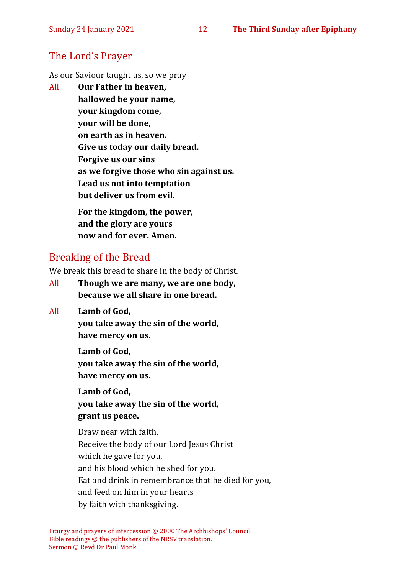#### The Lord's Prayer

As our Saviour taught us, so we pray

All **Our Father in heaven, hallowed be your name, your kingdom come, your will be done, on earth as in heaven. Give us today our daily bread. Forgive us our sins as we forgive those who sin against us. Lead us not into temptation but deliver us from evil. For the kingdom, the power,** 

**and the glory are yours now and for ever. Amen.**

#### Breaking of the Bread

We break this bread to share in the body of Christ.

- All **Though we are many, we are one body, because we all share in one bread.**
- All **Lamb of God,**

**you take away the sin of the world, have mercy on us.**

**Lamb of God, you take away the sin of the world, have mercy on us.**

**Lamb of God, you take away the sin of the world, grant us peace.**

Draw near with faith. Receive the body of our Lord Jesus Christ which he gave for you, and his blood which he shed for you. Eat and drink in remembrance that he died for you, and feed on him in your hearts by faith with thanksgiving.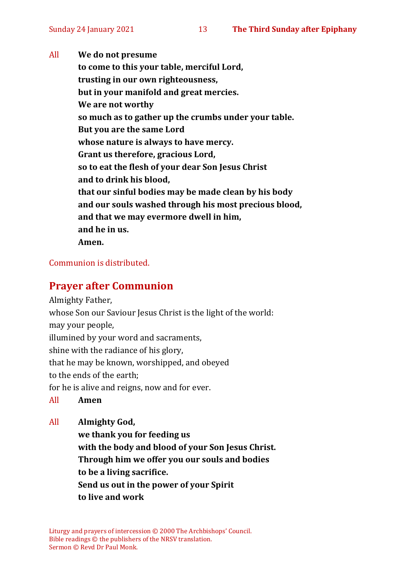All **We do not presume to come to this your table, merciful Lord, trusting in our own righteousness, but in your manifold and great mercies. We are not worthy so much as to gather up the crumbs under your table. But you are the same Lord whose nature is always to have mercy. Grant us therefore, gracious Lord, so to eat the flesh of your dear Son Jesus Christ and to drink his blood, that our sinful bodies may be made clean by his body and our souls washed through his most precious blood, and that we may evermore dwell in him, and he in us. Amen.**

#### Communion is distributed.

#### **Prayer after Communion**

Almighty Father,

whose Son our Saviour Jesus Christ is the light of the world:

may your people,

illumined by your word and sacraments,

shine with the radiance of his glory,

that he may be known, worshipped, and obeyed

to the ends of the earth;

for he is alive and reigns, now and for ever.

All **Amen**

All **Almighty God,**

**we thank you for feeding us with the body and blood of your Son Jesus Christ. Through him we offer you our souls and bodies to be a living sacrifice. Send us out in the power of your Spirit to live and work**